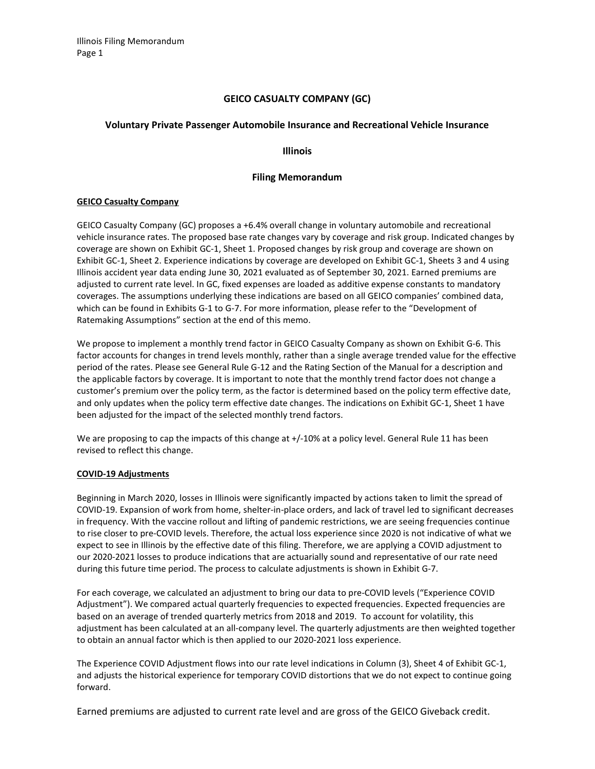# GEICO CASUALTY COMPANY (GC)

# Voluntary Private Passenger Automobile Insurance and Recreational Vehicle Insurance

## Illinois

# Filing Memorandum

## GEICO Casualty Company

GEICO Casualty Company (GC) proposes a +6.4% overall change in voluntary automobile and recreational vehicle insurance rates. The proposed base rate changes vary by coverage and risk group. Indicated changes by coverage are shown on Exhibit GC-1, Sheet 1. Proposed changes by risk group and coverage are shown on Exhibit GC-1, Sheet 2. Experience indications by coverage are developed on Exhibit GC-1, Sheets 3 and 4 using Illinois accident year data ending June 30, 2021 evaluated as of September 30, 2021. Earned premiums are adjusted to current rate level. In GC, fixed expenses are loaded as additive expense constants to mandatory coverages. The assumptions underlying these indications are based on all GEICO companies' combined data, which can be found in Exhibits G-1 to G-7. For more information, please refer to the "Development of Ratemaking Assumptions" section at the end of this memo.

We propose to implement a monthly trend factor in GEICO Casualty Company as shown on Exhibit G-6. This factor accounts for changes in trend levels monthly, rather than a single average trended value for the effective period of the rates. Please see General Rule G-12 and the Rating Section of the Manual for a description and the applicable factors by coverage. It is important to note that the monthly trend factor does not change a customer's premium over the policy term, as the factor is determined based on the policy term effective date, and only updates when the policy term effective date changes. The indications on Exhibit GC-1, Sheet 1 have been adjusted for the impact of the selected monthly trend factors.

We are proposing to cap the impacts of this change at  $+/-10\%$  at a policy level. General Rule 11 has been revised to reflect this change.

## COVID-19 Adjustments

Beginning in March 2020, losses in Illinois were significantly impacted by actions taken to limit the spread of COVID-19. Expansion of work from home, shelter-in-place orders, and lack of travel led to significant decreases in frequency. With the vaccine rollout and lifting of pandemic restrictions, we are seeing frequencies continue to rise closer to pre-COVID levels. Therefore, the actual loss experience since 2020 is not indicative of what we expect to see in Illinois by the effective date of this filing. Therefore, we are applying a COVID adjustment to our 2020-2021 losses to produce indications that are actuarially sound and representative of our rate need during this future time period. The process to calculate adjustments is shown in Exhibit G-7.

For each coverage, we calculated an adjustment to bring our data to pre-COVID levels ("Experience COVID Adjustment"). We compared actual quarterly frequencies to expected frequencies. Expected frequencies are based on an average of trended quarterly metrics from 2018 and 2019. To account for volatility, this adjustment has been calculated at an all-company level. The quarterly adjustments are then weighted together to obtain an annual factor which is then applied to our 2020-2021 loss experience.

The Experience COVID Adjustment flows into our rate level indications in Column (3), Sheet 4 of Exhibit GC-1, and adjusts the historical experience for temporary COVID distortions that we do not expect to continue going forward.

Earned premiums are adjusted to current rate level and are gross of the GEICO Giveback credit.